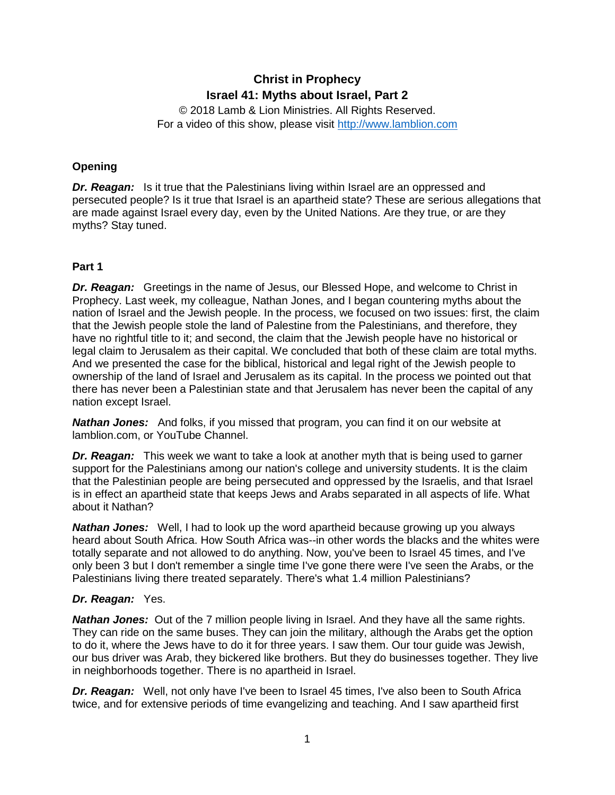# **Christ in Prophecy Israel 41: Myths about Israel, Part 2**

© 2018 Lamb & Lion Ministries. All Rights Reserved. For a video of this show, please visit [http://www.lamblion.com](http://www.lamblion.com/)

## **Opening**

*Dr. Reagan:* Is it true that the Palestinians living within Israel are an oppressed and persecuted people? Is it true that Israel is an apartheid state? These are serious allegations that are made against Israel every day, even by the United Nations. Are they true, or are they myths? Stay tuned.

## **Part 1**

*Dr. Reagan:* Greetings in the name of Jesus, our Blessed Hope, and welcome to Christ in Prophecy. Last week, my colleague, Nathan Jones, and I began countering myths about the nation of Israel and the Jewish people. In the process, we focused on two issues: first, the claim that the Jewish people stole the land of Palestine from the Palestinians, and therefore, they have no rightful title to it; and second, the claim that the Jewish people have no historical or legal claim to Jerusalem as their capital. We concluded that both of these claim are total myths. And we presented the case for the biblical, historical and legal right of the Jewish people to ownership of the land of Israel and Jerusalem as its capital. In the process we pointed out that there has never been a Palestinian state and that Jerusalem has never been the capital of any nation except Israel.

*Nathan Jones:* And folks, if you missed that program, you can find it on our website at lamblion.com, or YouTube Channel.

*Dr. Reagan:* This week we want to take a look at another myth that is being used to garner support for the Palestinians among our nation's college and university students. It is the claim that the Palestinian people are being persecuted and oppressed by the Israelis, and that Israel is in effect an apartheid state that keeps Jews and Arabs separated in all aspects of life. What about it Nathan?

*Nathan Jones:* Well, I had to look up the word apartheid because growing up you always heard about South Africa. How South Africa was--in other words the blacks and the whites were totally separate and not allowed to do anything. Now, you've been to Israel 45 times, and I've only been 3 but I don't remember a single time I've gone there were I've seen the Arabs, or the Palestinians living there treated separately. There's what 1.4 million Palestinians?

## *Dr. Reagan:* Yes.

*Nathan Jones:* Out of the 7 million people living in Israel. And they have all the same rights. They can ride on the same buses. They can join the military, although the Arabs get the option to do it, where the Jews have to do it for three years. I saw them. Our tour guide was Jewish, our bus driver was Arab, they bickered like brothers. But they do businesses together. They live in neighborhoods together. There is no apartheid in Israel.

*Dr. Reagan:* Well, not only have I've been to Israel 45 times, I've also been to South Africa twice, and for extensive periods of time evangelizing and teaching. And I saw apartheid first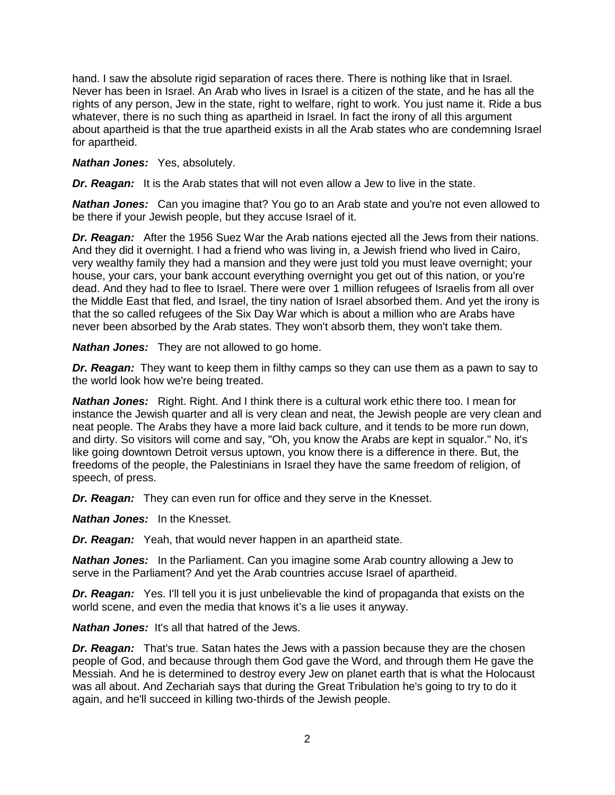hand. I saw the absolute rigid separation of races there. There is nothing like that in Israel. Never has been in Israel. An Arab who lives in Israel is a citizen of the state, and he has all the rights of any person, Jew in the state, right to welfare, right to work. You just name it. Ride a bus whatever, there is no such thing as apartheid in Israel. In fact the irony of all this argument about apartheid is that the true apartheid exists in all the Arab states who are condemning Israel for apartheid.

#### *Nathan Jones:* Yes, absolutely.

*Dr. Reagan:* It is the Arab states that will not even allow a Jew to live in the state.

*Nathan Jones:* Can you imagine that? You go to an Arab state and you're not even allowed to be there if your Jewish people, but they accuse Israel of it.

*Dr. Reagan:* After the 1956 Suez War the Arab nations ejected all the Jews from their nations. And they did it overnight. I had a friend who was living in, a Jewish friend who lived in Cairo, very wealthy family they had a mansion and they were just told you must leave overnight; your house, your cars, your bank account everything overnight you get out of this nation, or you're dead. And they had to flee to Israel. There were over 1 million refugees of Israelis from all over the Middle East that fled, and Israel, the tiny nation of Israel absorbed them. And yet the irony is that the so called refugees of the Six Day War which is about a million who are Arabs have never been absorbed by the Arab states. They won't absorb them, they won't take them.

*Nathan Jones:* They are not allowed to go home.

*Dr. Reagan:* They want to keep them in filthy camps so they can use them as a pawn to say to the world look how we're being treated.

*Nathan Jones:* Right. Right. And I think there is a cultural work ethic there too. I mean for instance the Jewish quarter and all is very clean and neat, the Jewish people are very clean and neat people. The Arabs they have a more laid back culture, and it tends to be more run down, and dirty. So visitors will come and say, "Oh, you know the Arabs are kept in squalor." No, it's like going downtown Detroit versus uptown, you know there is a difference in there. But, the freedoms of the people, the Palestinians in Israel they have the same freedom of religion, of speech, of press.

*Dr. Reagan:* They can even run for office and they serve in the Knesset.

*Nathan Jones:* In the Knesset.

*Dr. Reagan:* Yeah, that would never happen in an apartheid state.

*Nathan Jones:* In the Parliament. Can you imagine some Arab country allowing a Jew to serve in the Parliament? And yet the Arab countries accuse Israel of apartheid.

*Dr. Reagan:* Yes. I'll tell you it is just unbelievable the kind of propaganda that exists on the world scene, and even the media that knows it's a lie uses it anyway.

*Nathan Jones:* It's all that hatred of the Jews.

*Dr. Reagan:* That's true. Satan hates the Jews with a passion because they are the chosen people of God, and because through them God gave the Word, and through them He gave the Messiah. And he is determined to destroy every Jew on planet earth that is what the Holocaust was all about. And Zechariah says that during the Great Tribulation he's going to try to do it again, and he'll succeed in killing two-thirds of the Jewish people.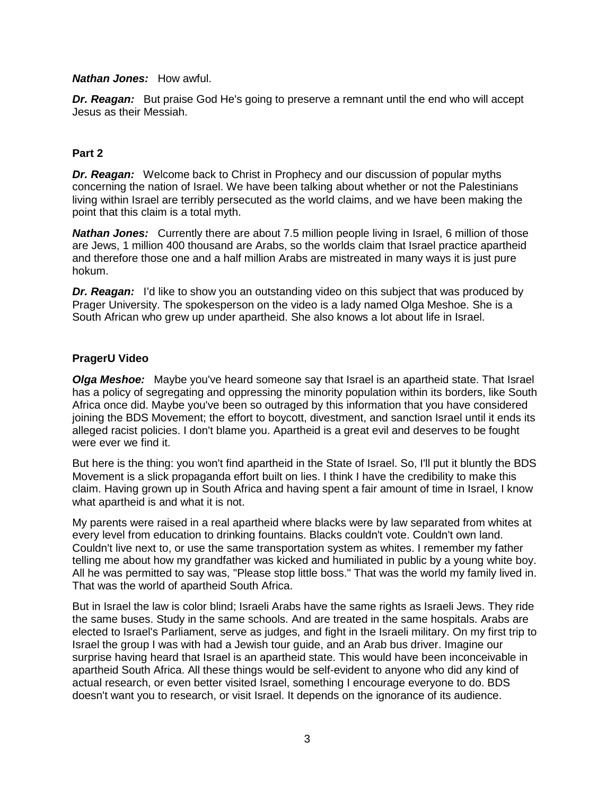#### *Nathan Jones:* How awful.

**Dr. Reagan:** But praise God He's going to preserve a remnant until the end who will accept Jesus as their Messiah.

#### **Part 2**

*Dr. Reagan:* Welcome back to Christ in Prophecy and our discussion of popular myths concerning the nation of Israel. We have been talking about whether or not the Palestinians living within Israel are terribly persecuted as the world claims, and we have been making the point that this claim is a total myth.

*Nathan Jones:* Currently there are about 7.5 million people living in Israel, 6 million of those are Jews, 1 million 400 thousand are Arabs, so the worlds claim that Israel practice apartheid and therefore those one and a half million Arabs are mistreated in many ways it is just pure hokum.

**Dr. Reagan:** I'd like to show you an outstanding video on this subject that was produced by Prager University. The spokesperson on the video is a lady named Olga Meshoe. She is a South African who grew up under apartheid. She also knows a lot about life in Israel.

## **PragerU Video**

*Olga Meshoe:* Maybe you've heard someone say that Israel is an apartheid state. That Israel has a policy of segregating and oppressing the minority population within its borders, like South Africa once did. Maybe you've been so outraged by this information that you have considered joining the BDS Movement; the effort to boycott, divestment, and sanction Israel until it ends its alleged racist policies. I don't blame you. Apartheid is a great evil and deserves to be fought were ever we find it.

But here is the thing: you won't find apartheid in the State of Israel. So, I'll put it bluntly the BDS Movement is a slick propaganda effort built on lies. I think I have the credibility to make this claim. Having grown up in South Africa and having spent a fair amount of time in Israel, I know what apartheid is and what it is not.

My parents were raised in a real apartheid where blacks were by law separated from whites at every level from education to drinking fountains. Blacks couldn't vote. Couldn't own land. Couldn't live next to, or use the same transportation system as whites. I remember my father telling me about how my grandfather was kicked and humiliated in public by a young white boy. All he was permitted to say was, "Please stop little boss." That was the world my family lived in. That was the world of apartheid South Africa.

But in Israel the law is color blind; Israeli Arabs have the same rights as Israeli Jews. They ride the same buses. Study in the same schools. And are treated in the same hospitals. Arabs are elected to Israel's Parliament, serve as judges, and fight in the Israeli military. On my first trip to Israel the group I was with had a Jewish tour guide, and an Arab bus driver. Imagine our surprise having heard that Israel is an apartheid state. This would have been inconceivable in apartheid South Africa. All these things would be self-evident to anyone who did any kind of actual research, or even better visited Israel, something I encourage everyone to do. BDS doesn't want you to research, or visit Israel. It depends on the ignorance of its audience.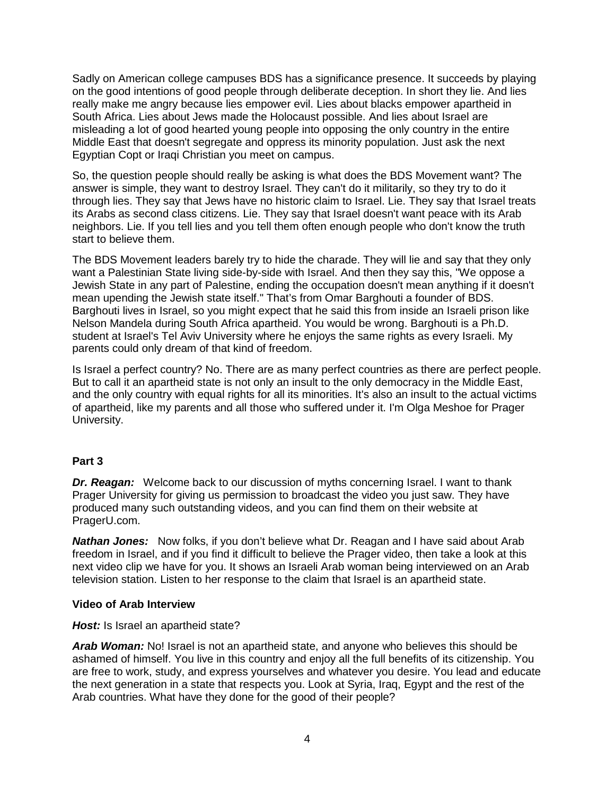Sadly on American college campuses BDS has a significance presence. It succeeds by playing on the good intentions of good people through deliberate deception. In short they lie. And lies really make me angry because lies empower evil. Lies about blacks empower apartheid in South Africa. Lies about Jews made the Holocaust possible. And lies about Israel are misleading a lot of good hearted young people into opposing the only country in the entire Middle East that doesn't segregate and oppress its minority population. Just ask the next Egyptian Copt or Iraqi Christian you meet on campus.

So, the question people should really be asking is what does the BDS Movement want? The answer is simple, they want to destroy Israel. They can't do it militarily, so they try to do it through lies. They say that Jews have no historic claim to Israel. Lie. They say that Israel treats its Arabs as second class citizens. Lie. They say that Israel doesn't want peace with its Arab neighbors. Lie. If you tell lies and you tell them often enough people who don't know the truth start to believe them.

The BDS Movement leaders barely try to hide the charade. They will lie and say that they only want a Palestinian State living side-by-side with Israel. And then they say this, "We oppose a Jewish State in any part of Palestine, ending the occupation doesn't mean anything if it doesn't mean upending the Jewish state itself." That's from Omar Barghouti a founder of BDS. Barghouti lives in Israel, so you might expect that he said this from inside an Israeli prison like Nelson Mandela during South Africa apartheid. You would be wrong. Barghouti is a Ph.D. student at Israel's Tel Aviv University where he enjoys the same rights as every Israeli. My parents could only dream of that kind of freedom.

Is Israel a perfect country? No. There are as many perfect countries as there are perfect people. But to call it an apartheid state is not only an insult to the only democracy in the Middle East, and the only country with equal rights for all its minorities. It's also an insult to the actual victims of apartheid, like my parents and all those who suffered under it. I'm Olga Meshoe for Prager University.

## **Part 3**

*Dr. Reagan:* Welcome back to our discussion of myths concerning Israel. I want to thank Prager University for giving us permission to broadcast the video you just saw. They have produced many such outstanding videos, and you can find them on their website at PragerU.com.

*Nathan Jones:* Now folks, if you don't believe what Dr. Reagan and I have said about Arab freedom in Israel, and if you find it difficult to believe the Prager video, then take a look at this next video clip we have for you. It shows an Israeli Arab woman being interviewed on an Arab television station. Listen to her response to the claim that Israel is an apartheid state.

#### **Video of Arab Interview**

#### *Host:* Is Israel an apartheid state?

*Arab Woman:* No! Israel is not an apartheid state, and anyone who believes this should be ashamed of himself. You live in this country and enjoy all the full benefits of its citizenship. You are free to work, study, and express yourselves and whatever you desire. You lead and educate the next generation in a state that respects you. Look at Syria, Iraq, Egypt and the rest of the Arab countries. What have they done for the good of their people?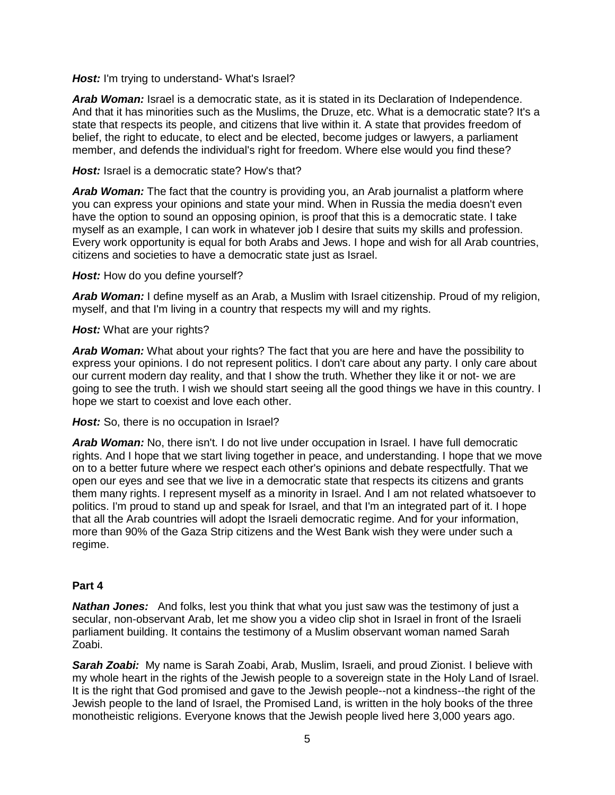**Host:** I'm trying to understand- What's Israel?

**Arab Woman:** Israel is a democratic state, as it is stated in its Declaration of Independence. And that it has minorities such as the Muslims, the Druze, etc. What is a democratic state? It's a state that respects its people, and citizens that live within it. A state that provides freedom of belief, the right to educate, to elect and be elected, become judges or lawyers, a parliament member, and defends the individual's right for freedom. Where else would you find these?

### **Host:** Israel is a democratic state? How's that?

*Arab Woman:* The fact that the country is providing you, an Arab journalist a platform where you can express your opinions and state your mind. When in Russia the media doesn't even have the option to sound an opposing opinion, is proof that this is a democratic state. I take myself as an example, I can work in whatever job I desire that suits my skills and profession. Every work opportunity is equal for both Arabs and Jews. I hope and wish for all Arab countries, citizens and societies to have a democratic state just as Israel.

#### *Host:* How do you define yourself?

*Arab Woman:* I define myself as an Arab, a Muslim with Israel citizenship. Proud of my religion, myself, and that I'm living in a country that respects my will and my rights.

#### *Host:* What are your rights?

*Arab Woman:* What about your rights? The fact that you are here and have the possibility to express your opinions. I do not represent politics. I don't care about any party. I only care about our current modern day reality, and that I show the truth. Whether they like it or not- we are going to see the truth. I wish we should start seeing all the good things we have in this country. I hope we start to coexist and love each other.

**Host:** So, there is no occupation in Israel?

*Arab Woman:* No, there isn't. I do not live under occupation in Israel. I have full democratic rights. And I hope that we start living together in peace, and understanding. I hope that we move on to a better future where we respect each other's opinions and debate respectfully. That we open our eyes and see that we live in a democratic state that respects its citizens and grants them many rights. I represent myself as a minority in Israel. And I am not related whatsoever to politics. I'm proud to stand up and speak for Israel, and that I'm an integrated part of it. I hope that all the Arab countries will adopt the Israeli democratic regime. And for your information, more than 90% of the Gaza Strip citizens and the West Bank wish they were under such a regime.

## **Part 4**

*Nathan Jones:* And folks, lest you think that what you just saw was the testimony of just a secular, non-observant Arab, let me show you a video clip shot in Israel in front of the Israeli parliament building. It contains the testimony of a Muslim observant woman named Sarah Zoabi.

*Sarah Zoabi:* My name is Sarah Zoabi, Arab, Muslim, Israeli, and proud Zionist. I believe with my whole heart in the rights of the Jewish people to a sovereign state in the Holy Land of Israel. It is the right that God promised and gave to the Jewish people--not a kindness--the right of the Jewish people to the land of Israel, the Promised Land, is written in the holy books of the three monotheistic religions. Everyone knows that the Jewish people lived here 3,000 years ago.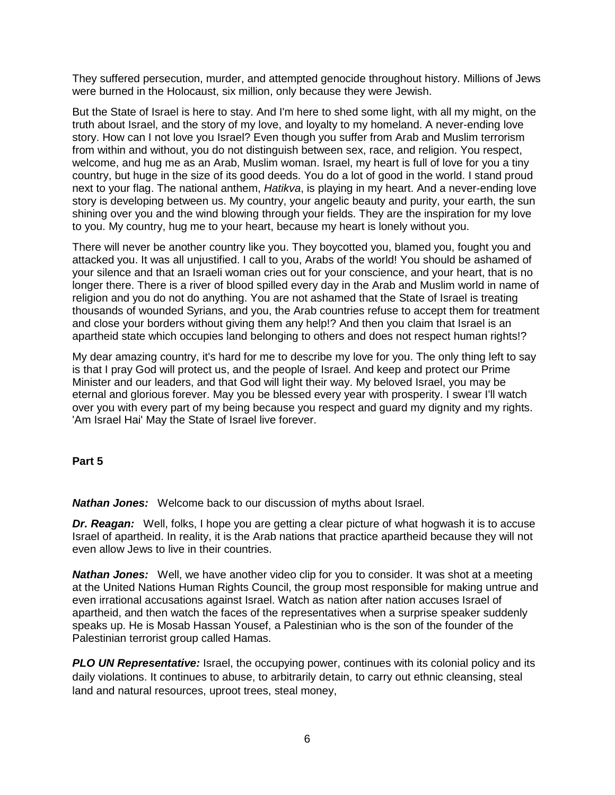They suffered persecution, murder, and attempted genocide throughout history. Millions of Jews were burned in the Holocaust, six million, only because they were Jewish.

But the State of Israel is here to stay. And I'm here to shed some light, with all my might, on the truth about Israel, and the story of my love, and loyalty to my homeland. A never-ending love story. How can I not love you Israel? Even though you suffer from Arab and Muslim terrorism from within and without, you do not distinguish between sex, race, and religion. You respect, welcome, and hug me as an Arab, Muslim woman. Israel, my heart is full of love for you a tiny country, but huge in the size of its good deeds. You do a lot of good in the world. I stand proud next to your flag. The national anthem, *Hatikva*, is playing in my heart. And a never-ending love story is developing between us. My country, your angelic beauty and purity, your earth, the sun shining over you and the wind blowing through your fields. They are the inspiration for my love to you. My country, hug me to your heart, because my heart is lonely without you.

There will never be another country like you. They boycotted you, blamed you, fought you and attacked you. It was all unjustified. I call to you, Arabs of the world! You should be ashamed of your silence and that an Israeli woman cries out for your conscience, and your heart, that is no longer there. There is a river of blood spilled every day in the Arab and Muslim world in name of religion and you do not do anything. You are not ashamed that the State of Israel is treating thousands of wounded Syrians, and you, the Arab countries refuse to accept them for treatment and close your borders without giving them any help!? And then you claim that Israel is an apartheid state which occupies land belonging to others and does not respect human rights!?

My dear amazing country, it's hard for me to describe my love for you. The only thing left to say is that I pray God will protect us, and the people of Israel. And keep and protect our Prime Minister and our leaders, and that God will light their way. My beloved Israel, you may be eternal and glorious forever. May you be blessed every year with prosperity. I swear I'll watch over you with every part of my being because you respect and guard my dignity and my rights. 'Am Israel Hai' May the State of Israel live forever.

#### **Part 5**

*Nathan Jones:* Welcome back to our discussion of myths about Israel.

*Dr. Reagan:* Well, folks, I hope you are getting a clear picture of what hogwash it is to accuse Israel of apartheid. In reality, it is the Arab nations that practice apartheid because they will not even allow Jews to live in their countries.

**Nathan Jones:** Well, we have another video clip for you to consider. It was shot at a meeting at the United Nations Human Rights Council, the group most responsible for making untrue and even irrational accusations against Israel. Watch as nation after nation accuses Israel of apartheid, and then watch the faces of the representatives when a surprise speaker suddenly speaks up. He is Mosab Hassan Yousef, a Palestinian who is the son of the founder of the Palestinian terrorist group called Hamas.

**PLO UN Representative:** Israel, the occupying power, continues with its colonial policy and its daily violations. It continues to abuse, to arbitrarily detain, to carry out ethnic cleansing, steal land and natural resources, uproot trees, steal money,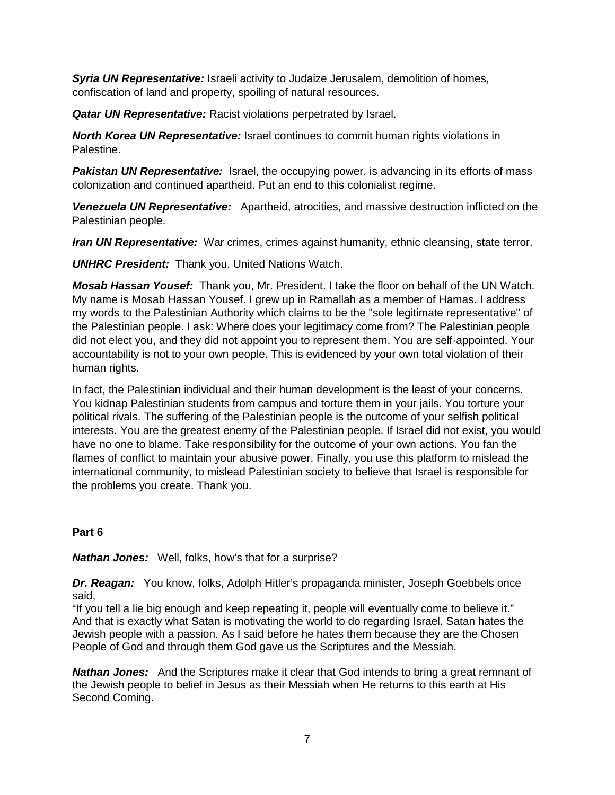*Syria UN Representative:* Israeli activity to Judaize Jerusalem, demolition of homes, confiscation of land and property, spoiling of natural resources.

*Qatar UN Representative:* Racist violations perpetrated by Israel.

*North Korea UN Representative:* Israel continues to commit human rights violations in Palestine.

**Pakistan UN Representative:** Israel, the occupying power, is advancing in its efforts of mass colonization and continued apartheid. Put an end to this colonialist regime.

*Venezuela UN Representative:* Apartheid, atrocities, and massive destruction inflicted on the Palestinian people.

*Iran UN Representative:* War crimes, crimes against humanity, ethnic cleansing, state terror.

*UNHRC President:* Thank you. United Nations Watch.

*Mosab Hassan Yousef:* Thank you, Mr. President. I take the floor on behalf of the UN Watch. My name is Mosab Hassan Yousef. I grew up in Ramallah as a member of Hamas. I address my words to the Palestinian Authority which claims to be the "sole legitimate representative" of the Palestinian people. I ask: Where does your legitimacy come from? The Palestinian people did not elect you, and they did not appoint you to represent them. You are self-appointed. Your accountability is not to your own people. This is evidenced by your own total violation of their human rights.

In fact, the Palestinian individual and their human development is the least of your concerns. You kidnap Palestinian students from campus and torture them in your jails. You torture your political rivals. The suffering of the Palestinian people is the outcome of your selfish political interests. You are the greatest enemy of the Palestinian people. If Israel did not exist, you would have no one to blame. Take responsibility for the outcome of your own actions. You fan the flames of conflict to maintain your abusive power. Finally, you use this platform to mislead the international community, to mislead Palestinian society to believe that Israel is responsible for the problems you create. Thank you.

## **Part 6**

*Nathan Jones:* Well, folks, how's that for a surprise?

*Dr. Reagan:* You know, folks, Adolph Hitler's propaganda minister, Joseph Goebbels once said,

"If you tell a lie big enough and keep repeating it, people will eventually come to believe it." And that is exactly what Satan is motivating the world to do regarding Israel. Satan hates the Jewish people with a passion. As I said before he hates them because they are the Chosen People of God and through them God gave us the Scriptures and the Messiah.

*Nathan Jones:* And the Scriptures make it clear that God intends to bring a great remnant of the Jewish people to belief in Jesus as their Messiah when He returns to this earth at His Second Coming.